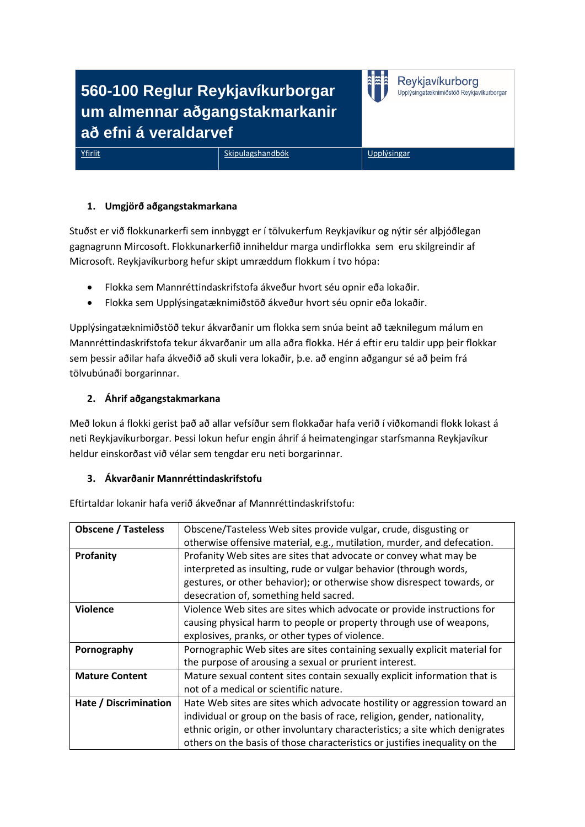# **560-100 Reglur Reykjavíkurborgar um almennar aðgangstakmarkanir að efni á veraldarvef**

[Yfirlit](file://esja/shb$/000-000%20Yfirlit.htm) [Skipulagshandbók](file://esja/shb$/000-100%20Skipulagshandbok.htm) Virtual [Upplýsingar](file://esja/shb$/000-004%20Upplysingar.htm)

Reykjavíkurborg Upplýsingatæknimiðstöð Reykjavíkurborgar

# **1. Umgjörð aðgangstakmarkana**

Stuðst er við flokkunarkerfi sem innbyggt er í tölvukerfum Reykjavíkur og nýtir sér alþjóðlegan gagnagrunn Mircosoft. Flokkunarkerfið inniheldur marga undirflokka sem eru skilgreindir af Microsoft. Reykjavíkurborg hefur skipt umræddum flokkum í tvo hópa:

- Flokka sem Mannréttindaskrifstofa ákveður hvort séu opnir eða lokaðir.
- Flokka sem Upplýsingatæknimiðstöð ákveður hvort séu opnir eða lokaðir.

Upplýsingatæknimiðstöð tekur ákvarðanir um flokka sem snúa beint að tæknilegum málum en Mannréttindaskrifstofa tekur ákvarðanir um alla aðra flokka. Hér á eftir eru taldir upp þeir flokkar sem þessir aðilar hafa ákveðið að skuli vera lokaðir, þ.e. að enginn aðgangur sé að þeim frá tölvubúnaði borgarinnar.

# **2. Áhrif aðgangstakmarkana**

Með lokun á flokki gerist það að allar vefsíður sem flokkaðar hafa verið í viðkomandi flokk lokast á neti Reykjavíkurborgar. Þessi lokun hefur engin áhrif á heimatengingar starfsmanna Reykjavíkur heldur einskorðast við vélar sem tengdar eru neti borgarinnar.

#### **3. Ákvarðanir Mannréttindaskrifstofu**

Eftirtaldar lokanir hafa verið ákveðnar af Mannréttindaskrifstofu:

| <b>Obscene / Tasteless</b> | Obscene/Tasteless Web sites provide vulgar, crude, disgusting or             |
|----------------------------|------------------------------------------------------------------------------|
|                            | otherwise offensive material, e.g., mutilation, murder, and defecation.      |
| Profanity                  | Profanity Web sites are sites that advocate or convey what may be            |
|                            | interpreted as insulting, rude or vulgar behavior (through words,            |
|                            | gestures, or other behavior); or otherwise show disrespect towards, or       |
|                            | desecration of, something held sacred.                                       |
| <b>Violence</b>            | Violence Web sites are sites which advocate or provide instructions for      |
|                            | causing physical harm to people or property through use of weapons,          |
|                            | explosives, pranks, or other types of violence.                              |
| Pornography                | Pornographic Web sites are sites containing sexually explicit material for   |
|                            | the purpose of arousing a sexual or prurient interest.                       |
| <b>Mature Content</b>      | Mature sexual content sites contain sexually explicit information that is    |
|                            | not of a medical or scientific nature.                                       |
| Hate / Discrimination      | Hate Web sites are sites which advocate hostility or aggression toward an    |
|                            | individual or group on the basis of race, religion, gender, nationality,     |
|                            | ethnic origin, or other involuntary characteristics; a site which denigrates |
|                            | others on the basis of those characteristics or justifies inequality on the  |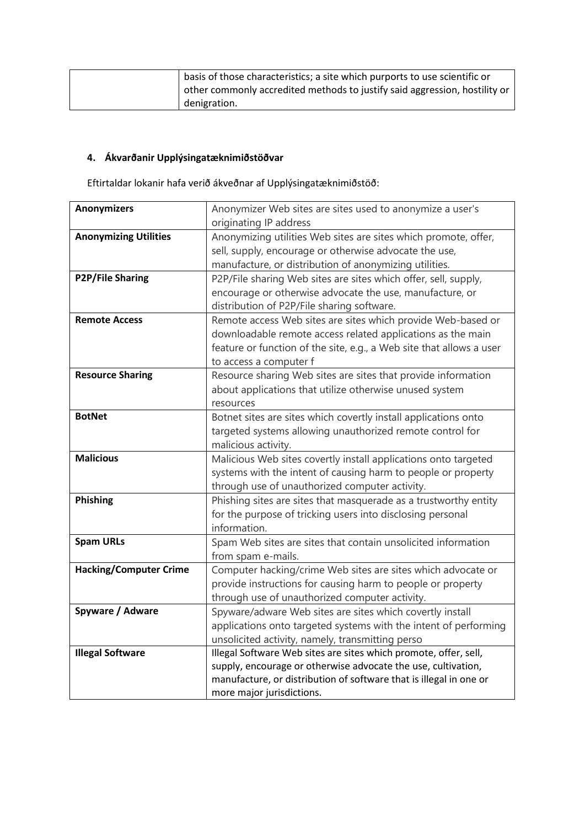| basis of those characteristics; a site which purports to use scientific or |
|----------------------------------------------------------------------------|
| other commonly accredited methods to justify said aggression, hostility or |
| denigration.                                                               |

# **4. Ákvarðanir Upplýsingatæknimiðstöðvar**

Eftirtaldar lokanir hafa verið ákveðnar af Upplýsingatæknimiðstöð:

| <b>Anonymizers</b>            | Anonymizer Web sites are sites used to anonymize a user's            |
|-------------------------------|----------------------------------------------------------------------|
|                               | originating IP address                                               |
| <b>Anonymizing Utilities</b>  | Anonymizing utilities Web sites are sites which promote, offer,      |
|                               | sell, supply, encourage or otherwise advocate the use,               |
|                               | manufacture, or distribution of anonymizing utilities.               |
| P2P/File Sharing              | P2P/File sharing Web sites are sites which offer, sell, supply,      |
|                               | encourage or otherwise advocate the use, manufacture, or             |
|                               | distribution of P2P/File sharing software.                           |
| <b>Remote Access</b>          | Remote access Web sites are sites which provide Web-based or         |
|                               | downloadable remote access related applications as the main          |
|                               | feature or function of the site, e.g., a Web site that allows a user |
|                               | to access a computer f                                               |
| <b>Resource Sharing</b>       | Resource sharing Web sites are sites that provide information        |
|                               | about applications that utilize otherwise unused system              |
|                               | resources                                                            |
| <b>BotNet</b>                 | Botnet sites are sites which covertly install applications onto      |
|                               | targeted systems allowing unauthorized remote control for            |
|                               | malicious activity.                                                  |
| <b>Malicious</b>              | Malicious Web sites covertly install applications onto targeted      |
|                               | systems with the intent of causing harm to people or property        |
|                               | through use of unauthorized computer activity.                       |
| Phishing                      | Phishing sites are sites that masquerade as a trustworthy entity     |
|                               | for the purpose of tricking users into disclosing personal           |
|                               | information.                                                         |
| <b>Spam URLs</b>              | Spam Web sites are sites that contain unsolicited information        |
|                               | from spam e-mails.                                                   |
| <b>Hacking/Computer Crime</b> | Computer hacking/crime Web sites are sites which advocate or         |
|                               | provide instructions for causing harm to people or property          |
|                               | through use of unauthorized computer activity.                       |
| Spyware / Adware              | Spyware/adware Web sites are sites which covertly install            |
|                               | applications onto targeted systems with the intent of performing     |
|                               | unsolicited activity, namely, transmitting perso                     |
| <b>Illegal Software</b>       | Illegal Software Web sites are sites which promote, offer, sell,     |
|                               | supply, encourage or otherwise advocate the use, cultivation,        |
|                               | manufacture, or distribution of software that is illegal in one or   |
|                               | more major jurisdictions.                                            |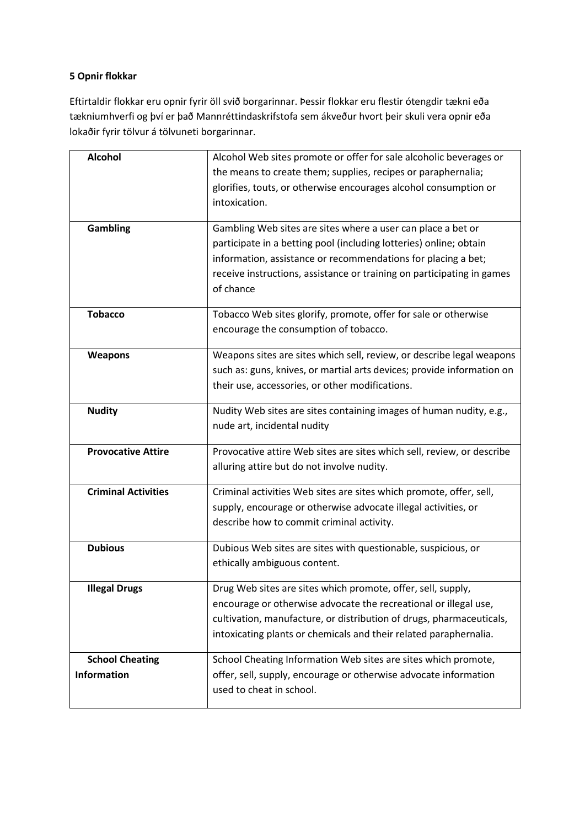# **5 Opnir flokkar**

Eftirtaldir flokkar eru opnir fyrir öll svið borgarinnar. Þessir flokkar eru flestir ótengdir tækni eða tækniumhverfi og því er það Mannréttindaskrifstofa sem ákveður hvort þeir skuli vera opnir eða lokaðir fyrir tölvur á tölvuneti borgarinnar.

| <b>Alcohol</b>             | Alcohol Web sites promote or offer for sale alcoholic beverages or     |
|----------------------------|------------------------------------------------------------------------|
|                            | the means to create them; supplies, recipes or paraphernalia;          |
|                            | glorifies, touts, or otherwise encourages alcohol consumption or       |
|                            | intoxication.                                                          |
|                            |                                                                        |
| <b>Gambling</b>            | Gambling Web sites are sites where a user can place a bet or           |
|                            | participate in a betting pool (including lotteries) online; obtain     |
|                            | information, assistance or recommendations for placing a bet;          |
|                            | receive instructions, assistance or training on participating in games |
|                            | of chance                                                              |
|                            |                                                                        |
| <b>Tobacco</b>             | Tobacco Web sites glorify, promote, offer for sale or otherwise        |
|                            | encourage the consumption of tobacco.                                  |
| <b>Weapons</b>             | Weapons sites are sites which sell, review, or describe legal weapons  |
|                            | such as: guns, knives, or martial arts devices; provide information on |
|                            | their use, accessories, or other modifications.                        |
|                            |                                                                        |
| <b>Nudity</b>              | Nudity Web sites are sites containing images of human nudity, e.g.,    |
|                            | nude art, incidental nudity                                            |
| <b>Provocative Attire</b>  | Provocative attire Web sites are sites which sell, review, or describe |
|                            | alluring attire but do not involve nudity.                             |
|                            |                                                                        |
| <b>Criminal Activities</b> | Criminal activities Web sites are sites which promote, offer, sell,    |
|                            | supply, encourage or otherwise advocate illegal activities, or         |
|                            | describe how to commit criminal activity.                              |
| <b>Dubious</b>             | Dubious Web sites are sites with questionable, suspicious, or          |
|                            | ethically ambiguous content.                                           |
|                            |                                                                        |
| <b>Illegal Drugs</b>       | Drug Web sites are sites which promote, offer, sell, supply,           |
|                            | encourage or otherwise advocate the recreational or illegal use,       |
|                            | cultivation, manufacture, or distribution of drugs, pharmaceuticals,   |
|                            | intoxicating plants or chemicals and their related paraphernalia.      |
|                            |                                                                        |
| <b>School Cheating</b>     | School Cheating Information Web sites are sites which promote,         |
| <b>Information</b>         | offer, sell, supply, encourage or otherwise advocate information       |
|                            | used to cheat in school.                                               |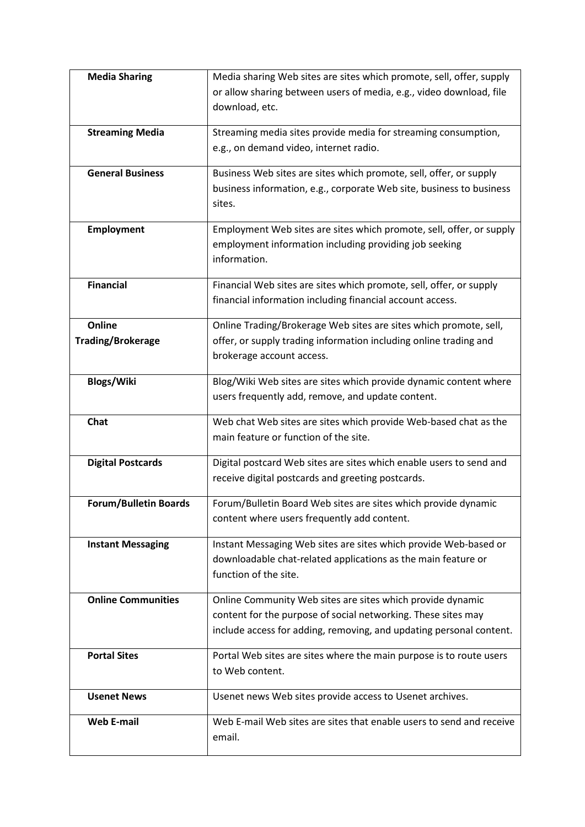| <b>Media Sharing</b>         | Media sharing Web sites are sites which promote, sell, offer, supply                                                   |
|------------------------------|------------------------------------------------------------------------------------------------------------------------|
|                              | or allow sharing between users of media, e.g., video download, file                                                    |
|                              | download, etc.                                                                                                         |
|                              |                                                                                                                        |
| <b>Streaming Media</b>       | Streaming media sites provide media for streaming consumption,                                                         |
|                              | e.g., on demand video, internet radio.                                                                                 |
| <b>General Business</b>      | Business Web sites are sites which promote, sell, offer, or supply                                                     |
|                              | business information, e.g., corporate Web site, business to business                                                   |
|                              | sites.                                                                                                                 |
| <b>Employment</b>            | Employment Web sites are sites which promote, sell, offer, or supply                                                   |
|                              | employment information including providing job seeking                                                                 |
|                              | information.                                                                                                           |
|                              |                                                                                                                        |
| <b>Financial</b>             | Financial Web sites are sites which promote, sell, offer, or supply                                                    |
|                              | financial information including financial account access.                                                              |
| Online                       | Online Trading/Brokerage Web sites are sites which promote, sell,                                                      |
| <b>Trading/Brokerage</b>     | offer, or supply trading information including online trading and                                                      |
|                              | brokerage account access.                                                                                              |
|                              |                                                                                                                        |
| <b>Blogs/Wiki</b>            | Blog/Wiki Web sites are sites which provide dynamic content where<br>users frequently add, remove, and update content. |
|                              |                                                                                                                        |
| Chat                         | Web chat Web sites are sites which provide Web-based chat as the                                                       |
|                              | main feature or function of the site.                                                                                  |
| <b>Digital Postcards</b>     | Digital postcard Web sites are sites which enable users to send and                                                    |
|                              | receive digital postcards and greeting postcards.                                                                      |
| <b>Forum/Bulletin Boards</b> |                                                                                                                        |
|                              | Forum/Bulletin Board Web sites are sites which provide dynamic<br>content where users frequently add content.          |
|                              |                                                                                                                        |
| <b>Instant Messaging</b>     | Instant Messaging Web sites are sites which provide Web-based or                                                       |
|                              | downloadable chat-related applications as the main feature or                                                          |
|                              | function of the site.                                                                                                  |
| <b>Online Communities</b>    | Online Community Web sites are sites which provide dynamic                                                             |
|                              | content for the purpose of social networking. These sites may                                                          |
|                              | include access for adding, removing, and updating personal content.                                                    |
| <b>Portal Sites</b>          |                                                                                                                        |
|                              | Portal Web sites are sites where the main purpose is to route users<br>to Web content.                                 |
|                              |                                                                                                                        |
| <b>Usenet News</b>           | Usenet news Web sites provide access to Usenet archives.                                                               |
| <b>Web E-mail</b>            | Web E-mail Web sites are sites that enable users to send and receive                                                   |
|                              | email.                                                                                                                 |
|                              |                                                                                                                        |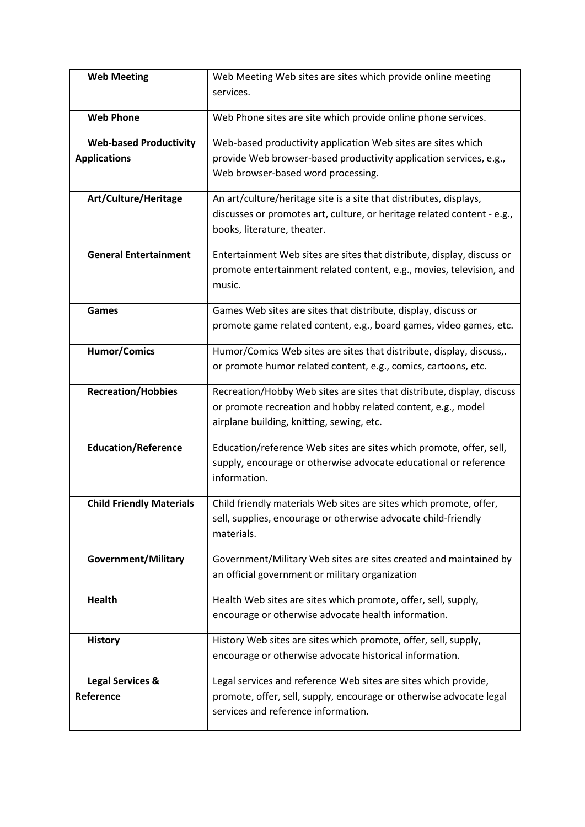| <b>Web Meeting</b>              | Web Meeting Web sites are sites which provide online meeting                                                                         |
|---------------------------------|--------------------------------------------------------------------------------------------------------------------------------------|
|                                 | services.                                                                                                                            |
|                                 |                                                                                                                                      |
| <b>Web Phone</b>                | Web Phone sites are site which provide online phone services.                                                                        |
| <b>Web-based Productivity</b>   | Web-based productivity application Web sites are sites which                                                                         |
| <b>Applications</b>             | provide Web browser-based productivity application services, e.g.,                                                                   |
|                                 | Web browser-based word processing.                                                                                                   |
| Art/Culture/Heritage            | An art/culture/heritage site is a site that distributes, displays,                                                                   |
|                                 | discusses or promotes art, culture, or heritage related content - e.g.,                                                              |
|                                 | books, literature, theater.                                                                                                          |
| <b>General Entertainment</b>    | Entertainment Web sites are sites that distribute, display, discuss or                                                               |
|                                 | promote entertainment related content, e.g., movies, television, and                                                                 |
|                                 | music.                                                                                                                               |
| Games                           | Games Web sites are sites that distribute, display, discuss or                                                                       |
|                                 | promote game related content, e.g., board games, video games, etc.                                                                   |
|                                 |                                                                                                                                      |
| <b>Humor/Comics</b>             | Humor/Comics Web sites are sites that distribute, display, discuss,.                                                                 |
|                                 | or promote humor related content, e.g., comics, cartoons, etc.                                                                       |
| <b>Recreation/Hobbies</b>       | Recreation/Hobby Web sites are sites that distribute, display, discuss                                                               |
|                                 | or promote recreation and hobby related content, e.g., model                                                                         |
|                                 | airplane building, knitting, sewing, etc.                                                                                            |
| <b>Education/Reference</b>      | Education/reference Web sites are sites which promote, offer, sell,                                                                  |
|                                 | supply, encourage or otherwise advocate educational or reference                                                                     |
|                                 | information.                                                                                                                         |
| <b>Child Friendly Materials</b> |                                                                                                                                      |
|                                 | Child friendly materials Web sites are sites which promote, offer,<br>sell, supplies, encourage or otherwise advocate child-friendly |
|                                 | materials.                                                                                                                           |
|                                 |                                                                                                                                      |
| Government/Military             | Government/Military Web sites are sites created and maintained by                                                                    |
|                                 | an official government or military organization                                                                                      |
| Health                          | Health Web sites are sites which promote, offer, sell, supply,                                                                       |
|                                 | encourage or otherwise advocate health information.                                                                                  |
|                                 |                                                                                                                                      |
| <b>History</b>                  | History Web sites are sites which promote, offer, sell, supply,                                                                      |
|                                 | encourage or otherwise advocate historical information.                                                                              |
| <b>Legal Services &amp;</b>     | Legal services and reference Web sites are sites which provide,                                                                      |
| Reference                       | promote, offer, sell, supply, encourage or otherwise advocate legal                                                                  |
|                                 | services and reference information.                                                                                                  |
|                                 |                                                                                                                                      |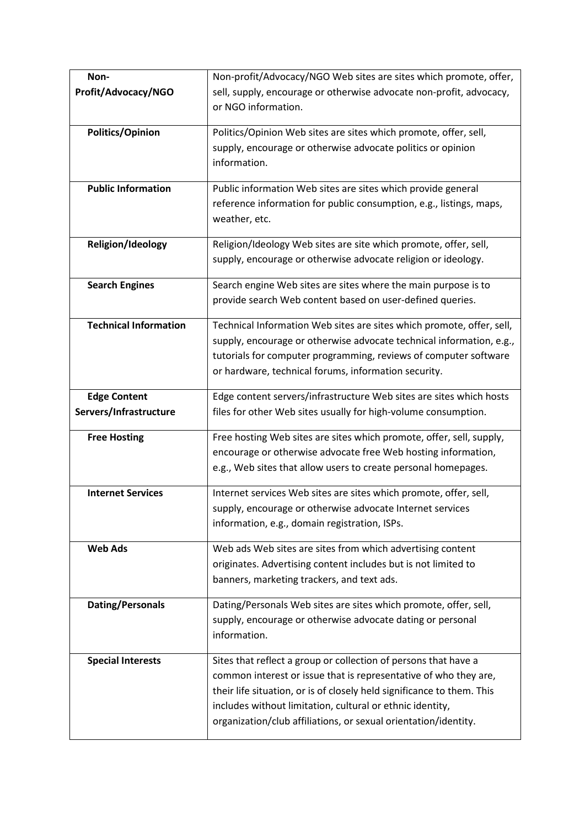| Non-                         | Non-profit/Advocacy/NGO Web sites are sites which promote, offer,                                                              |
|------------------------------|--------------------------------------------------------------------------------------------------------------------------------|
| Profit/Advocacy/NGO          | sell, supply, encourage or otherwise advocate non-profit, advocacy,                                                            |
|                              | or NGO information.                                                                                                            |
|                              |                                                                                                                                |
| <b>Politics/Opinion</b>      | Politics/Opinion Web sites are sites which promote, offer, sell,                                                               |
|                              | supply, encourage or otherwise advocate politics or opinion                                                                    |
|                              | information.                                                                                                                   |
| <b>Public Information</b>    | Public information Web sites are sites which provide general                                                                   |
|                              | reference information for public consumption, e.g., listings, maps,                                                            |
|                              | weather, etc.                                                                                                                  |
| Religion/Ideology            | Religion/Ideology Web sites are site which promote, offer, sell,                                                               |
|                              | supply, encourage or otherwise advocate religion or ideology.                                                                  |
|                              |                                                                                                                                |
| <b>Search Engines</b>        | Search engine Web sites are sites where the main purpose is to                                                                 |
|                              | provide search Web content based on user-defined queries.                                                                      |
| <b>Technical Information</b> | Technical Information Web sites are sites which promote, offer, sell,                                                          |
|                              | supply, encourage or otherwise advocate technical information, e.g.,                                                           |
|                              | tutorials for computer programming, reviews of computer software                                                               |
|                              | or hardware, technical forums, information security.                                                                           |
|                              |                                                                                                                                |
| <b>Edge Content</b>          | Edge content servers/infrastructure Web sites are sites which hosts                                                            |
| Servers/Infrastructure       | files for other Web sites usually for high-volume consumption.                                                                 |
| <b>Free Hosting</b>          | Free hosting Web sites are sites which promote, offer, sell, supply,                                                           |
|                              | encourage or otherwise advocate free Web hosting information,                                                                  |
|                              | e.g., Web sites that allow users to create personal homepages.                                                                 |
| <b>Internet Services</b>     |                                                                                                                                |
|                              | Internet services Web sites are sites which promote, offer, sell,<br>supply, encourage or otherwise advocate Internet services |
|                              | information, e.g., domain registration, ISPs.                                                                                  |
|                              |                                                                                                                                |
| <b>Web Ads</b>               | Web ads Web sites are sites from which advertising content                                                                     |
|                              | originates. Advertising content includes but is not limited to                                                                 |
|                              | banners, marketing trackers, and text ads.                                                                                     |
| <b>Dating/Personals</b>      | Dating/Personals Web sites are sites which promote, offer, sell,                                                               |
|                              | supply, encourage or otherwise advocate dating or personal                                                                     |
|                              | information.                                                                                                                   |
|                              |                                                                                                                                |
| <b>Special Interests</b>     | Sites that reflect a group or collection of persons that have a                                                                |
|                              | common interest or issue that is representative of who they are,                                                               |
|                              | their life situation, or is of closely held significance to them. This                                                         |
|                              | includes without limitation, cultural or ethnic identity,                                                                      |
|                              | organization/club affiliations, or sexual orientation/identity.                                                                |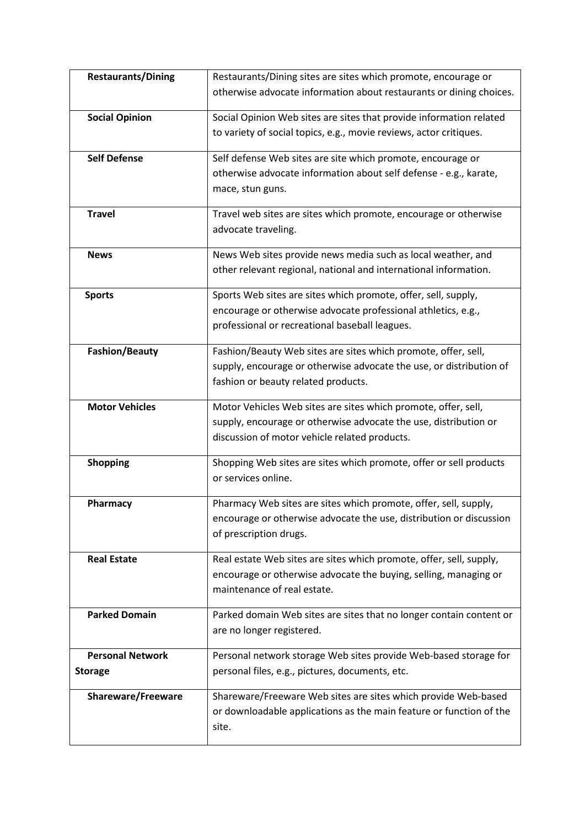| <b>Restaurants/Dining</b> | Restaurants/Dining sites are sites which promote, encourage or      |
|---------------------------|---------------------------------------------------------------------|
|                           | otherwise advocate information about restaurants or dining choices. |
| <b>Social Opinion</b>     | Social Opinion Web sites are sites that provide information related |
|                           | to variety of social topics, e.g., movie reviews, actor critiques.  |
| <b>Self Defense</b>       | Self defense Web sites are site which promote, encourage or         |
|                           | otherwise advocate information about self defense - e.g., karate,   |
|                           | mace, stun guns.                                                    |
| <b>Travel</b>             | Travel web sites are sites which promote, encourage or otherwise    |
|                           | advocate traveling.                                                 |
| <b>News</b>               | News Web sites provide news media such as local weather, and        |
|                           | other relevant regional, national and international information.    |
| <b>Sports</b>             | Sports Web sites are sites which promote, offer, sell, supply,      |
|                           | encourage or otherwise advocate professional athletics, e.g.,       |
|                           | professional or recreational baseball leagues.                      |
| <b>Fashion/Beauty</b>     | Fashion/Beauty Web sites are sites which promote, offer, sell,      |
|                           | supply, encourage or otherwise advocate the use, or distribution of |
|                           | fashion or beauty related products.                                 |
| <b>Motor Vehicles</b>     | Motor Vehicles Web sites are sites which promote, offer, sell,      |
|                           | supply, encourage or otherwise advocate the use, distribution or    |
|                           | discussion of motor vehicle related products.                       |
| <b>Shopping</b>           | Shopping Web sites are sites which promote, offer or sell products  |
|                           | or services online.                                                 |
| Pharmacy                  | Pharmacy Web sites are sites which promote, offer, sell, supply,    |
|                           | encourage or otherwise advocate the use, distribution or discussion |
|                           | of prescription drugs.                                              |
| <b>Real Estate</b>        | Real estate Web sites are sites which promote, offer, sell, supply, |
|                           | encourage or otherwise advocate the buying, selling, managing or    |
|                           | maintenance of real estate.                                         |
| <b>Parked Domain</b>      | Parked domain Web sites are sites that no longer contain content or |
|                           | are no longer registered.                                           |
| <b>Personal Network</b>   | Personal network storage Web sites provide Web-based storage for    |
| <b>Storage</b>            | personal files, e.g., pictures, documents, etc.                     |
| <b>Shareware/Freeware</b> | Shareware/Freeware Web sites are sites which provide Web-based      |
|                           | or downloadable applications as the main feature or function of the |
|                           | site.                                                               |